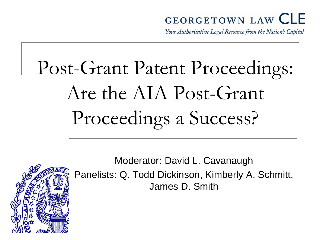#### GEORGETOWN LAW C

Your Authoritative Legal Resource from the Nation's Capital

# Post-Grant Patent Proceedings: Are the AIA Post-Grant Proceedings a Success?

Moderator: David L. Cavanaugh Panelists: Q. Todd Dickinson, Kimberly A. Schmitt, James D. Smith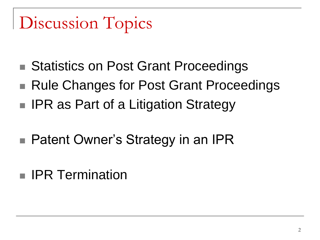## Discussion Topics

- Statistics on Post Grant Proceedings
- Rule Changes for Post Grant Proceedings
- IPR as Part of a Litigation Strategy
- Patent Owner's Strategy in an IPR
- IPR Termination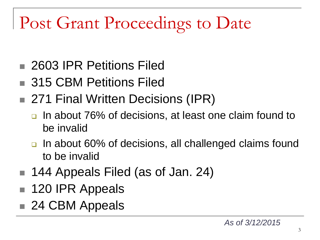#### Post Grant Proceedings to Date

- 2603 IPR Petitions Filed
- 315 CBM Petitions Filed
- 271 Final Written Decisions (IPR)
	- **□** In about 76% of decisions, at least one claim found to be invalid
	- In about 60% of decisions, all challenged claims found to be invalid
- 144 Appeals Filed (as of Jan. 24)
- 120 IPR Appeals
- 24 CBM Appeals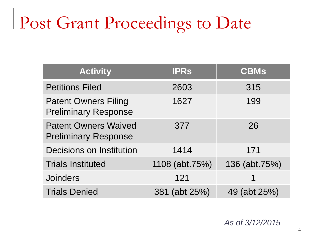#### Post Grant Proceedings to Date

| <b>Activity</b>                                            | <b>IPRS</b>    | <b>CBMs</b>   |
|------------------------------------------------------------|----------------|---------------|
| <b>Petitions Filed</b>                                     | 2603           | 315           |
| <b>Patent Owners Filing</b><br><b>Preliminary Response</b> | 1627           | 199           |
| <b>Patent Owners Waived</b><br><b>Preliminary Response</b> | 377            | 26            |
| <b>Decisions on Institution</b>                            | 1414           | 171           |
| <b>Trials Instituted</b>                                   | 1108 (abt.75%) | 136 (abt.75%) |
| <b>Joinders</b>                                            | 121            |               |
| <b>Trials Denied</b>                                       | 381 (abt 25%)  | 49 (abt 25%)  |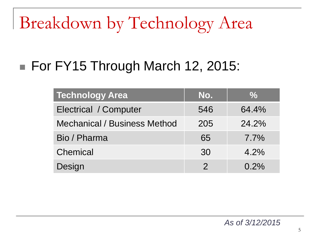## Breakdown by Technology Area

#### ■ For FY15 Through March 12, 2015:

| <b>Technology Area</b>              | No.           | $\%$    |
|-------------------------------------|---------------|---------|
| Electrical / Computer               | 546           | 64.4%   |
| <b>Mechanical / Business Method</b> | 205           | 24.2%   |
| Bio / Pharma                        | 65            | $7.7\%$ |
| Chemical                            | 30            | 4.2%    |
| Design                              | $\mathcal{P}$ | $0.2\%$ |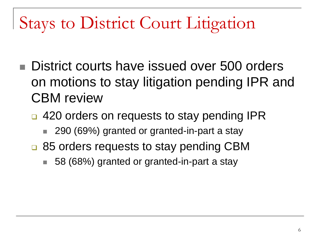### Stays to District Court Litigation

- District courts have issued over 500 orders on motions to stay litigation pending IPR and CBM review
	- □ 420 orders on requests to stay pending IPR
		- 290 (69%) granted or granted-in-part a stay
	- **□ 85 orders requests to stay pending CBM** 
		- 58 (68%) granted or granted-in-part a stay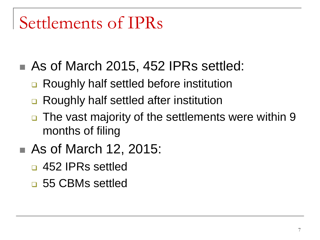#### Settlements of IPRs

- As of March 2015, 452 IPRs settled:
	- **□** Roughly half settled before institution
	- **□ Roughly half settled after institution**
	- **□** The vast majority of the settlements were within 9 months of filing
- As of March 12, 2015:
	- □ 452 IPRs settled
	- □ 55 CBMs settled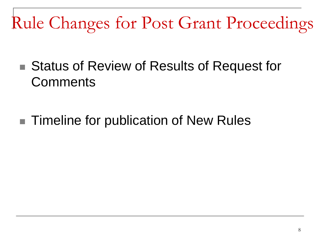Rule Changes for Post Grant Proceedings

- Status of Review of Results of Request for **Comments**
- Timeline for publication of New Rules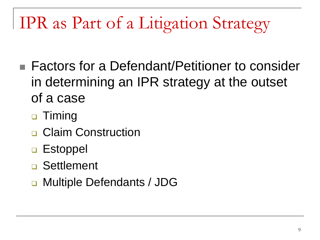## IPR as Part of a Litigation Strategy

- Factors for a Defendant/Petitioner to consider in determining an IPR strategy at the outset of a case
	- **D** Timing
	- Claim Construction
	- **D** Estoppel
	- **□ Settlement**
	- **D** Multiple Defendants / JDG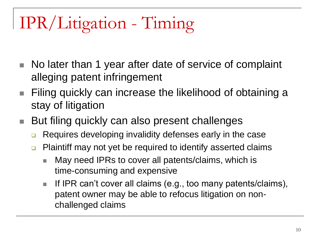## IPR/Litigation - Timing

- No later than 1 year after date of service of complaint alleging patent infringement
- Filing quickly can increase the likelihood of obtaining a stay of litigation
- But filing quickly can also present challenges
	- **Requires developing invalidity defenses early in the case**
	- **Plaintiff may not yet be required to identify asserted claims** 
		- May need IPRs to cover all patents/claims, which is time-consuming and expensive
		- If IPR can't cover all claims (e.g., too many patents/claims), patent owner may be able to refocus litigation on nonchallenged claims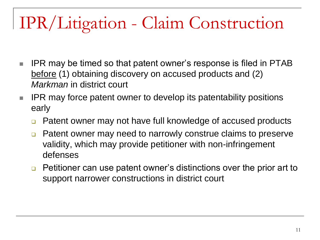## IPR/Litigation - Claim Construction

- IPR may be timed so that patent owner's response is filed in PTAB before (1) obtaining discovery on accused products and (2) *Markman* in district court
- $\blacksquare$  IPR may force patent owner to develop its patentability positions early
	- Patent owner may not have full knowledge of accused products
	- **Patent owner may need to narrowly construe claims to preserve** validity, which may provide petitioner with non-infringement defenses
	- $\Box$  Petitioner can use patent owner's distinctions over the prior art to support narrower constructions in district court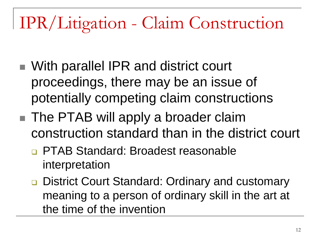## IPR/Litigation - Claim Construction

- With parallel IPR and district court proceedings, there may be an issue of potentially competing claim constructions
- The PTAB will apply a broader claim construction standard than in the district court
	- **PTAB Standard: Broadest reasonable** interpretation
	- **□ District Court Standard: Ordinary and customary** meaning to a person of ordinary skill in the art at the time of the invention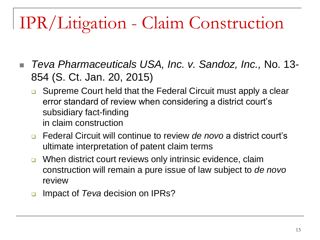## IPR/Litigation - Claim Construction

- *Teva Pharmaceuticals USA, Inc. v. Sandoz, Inc.,* No. 13- 854 (S. Ct. Jan. 20, 2015)
	- Supreme Court held that the Federal Circuit must apply a clear error standard of review when considering a district court's subsidiary fact-finding in claim construction
	- Federal Circuit will continue to review *de novo* a district court's ultimate interpretation of patent claim terms
	- **u** When district court reviews only intrinsic evidence, claim construction will remain a pure issue of law subject to *de novo*  review
	- **Impact of** *Teva* **decision on IPRs?**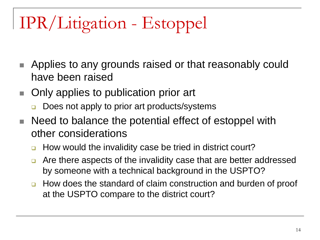## IPR/Litigation - Estoppel

- **Applies to any grounds raised or that reasonably could** have been raised
- Only applies to publication prior art
	- **□** Does not apply to prior art products/systems
- Need to balance the potential effect of estoppel with other considerations
	- **How would the invalidity case be tried in district court?**
	- **EXTERNIGHT Are there aspects of the invalidity case that are better addressed** by someone with a technical background in the USPTO?
	- How does the standard of claim construction and burden of proof at the USPTO compare to the district court?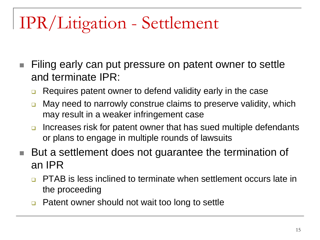## IPR/Litigation - Settlement

- Filing early can put pressure on patent owner to settle and terminate IPR:
	- **□** Requires patent owner to defend validity early in the case
	- **Nay need to narrowly construe claims to preserve validity, which** may result in a weaker infringement case
	- **Increases risk for patent owner that has sued multiple defendants** or plans to engage in multiple rounds of lawsuits
- But a settlement does not guarantee the termination of an IPR
	- **PTAB** is less inclined to terminate when settlement occurs late in the proceeding
	- **□** Patent owner should not wait too long to settle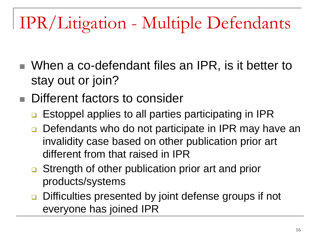## IPR/Litigation - Multiple Defendants

- When a co-defendant files an IPR, is it better to stay out or join?
- Different factors to consider
	- **E** Estoppel applies to all parties participating in IPR
	- **□** Defendants who do not participate in IPR may have an invalidity case based on other publication prior art different from that raised in IPR
	- Strength of other publication prior art and prior products/systems
	- **Difficulties presented by joint defense groups if not** everyone has joined IPR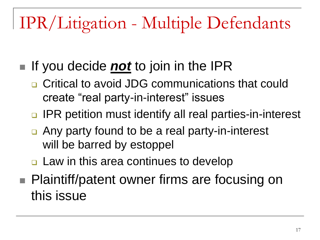## IPR/Litigation - Multiple Defendants

- If you decide *not* to join in the IPR
	- □ Critical to avoid JDG communications that could create "real party-in-interest" issues
	- **IPR petition must identify all real parties-in-interest**
	- Any party found to be a real party-in-interest will be barred by estoppel
	- **□ Law in this area continues to develop**
- Plaintiff/patent owner firms are focusing on this issue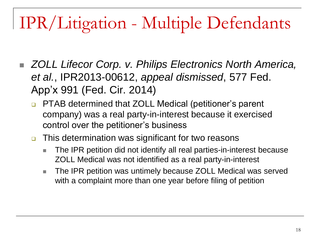## IPR/Litigation - Multiple Defendants

- *ZOLL Lifecor Corp. v. Philips Electronics North America, et al.*, IPR2013-00612, *appeal dismissed*, 577 Fed. App'x 991 (Fed. Cir. 2014)
	- □ PTAB determined that ZOLL Medical (petitioner's parent company) was a real party-in-interest because it exercised control over the petitioner's business
	- **□** This determination was significant for two reasons
		- The IPR petition did not identify all real parties-in-interest because ZOLL Medical was not identified as a real party-in-interest
		- The IPR petition was untimely because ZOLL Medical was served with a complaint more than one year before filing of petition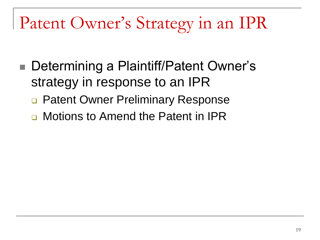#### Patent Owner's Strategy in an IPR

- Determining a Plaintiff/Patent Owner's strategy in response to an IPR
	- **<u>D</u>** Patent Owner Preliminary Response
	- **□ Motions to Amend the Patent in IPR**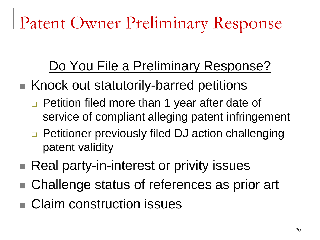### Patent Owner Preliminary Response

#### Do You File a Preliminary Response?

- Knock out statutorily-barred petitions
	- Petition filed more than 1 year after date of service of compliant alleging patent infringement
	- **Petitioner previously filed DJ action challenging** patent validity
- Real party-in-interest or privity issues
- Challenge status of references as prior art
- Claim construction issues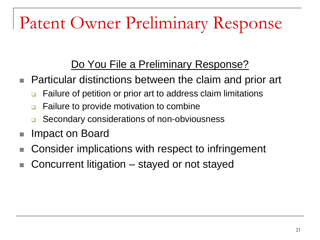### Patent Owner Preliminary Response

#### Do You File a Preliminary Response?

- Particular distinctions between the claim and prior art
	- **□** Failure of petition or prior art to address claim limitations
	- **□** Failure to provide motivation to combine
	- **□** Secondary considerations of non-obviousness
- Impact on Board
- Consider implications with respect to infringement
- Concurrent litigation stayed or not stayed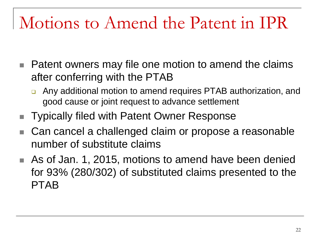- Patent owners may file one motion to amend the claims after conferring with the PTAB
	- Any additional motion to amend requires PTAB authorization, and good cause or joint request to advance settlement
- Typically filed with Patent Owner Response
- Can cancel a challenged claim or propose a reasonable number of substitute claims
- As of Jan. 1, 2015, motions to amend have been denied for 93% (280/302) of substituted claims presented to the PTAB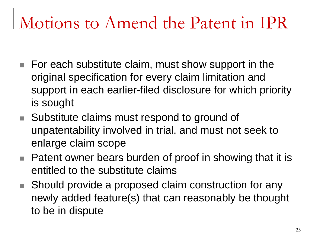- For each substitute claim, must show support in the original specification for every claim limitation and support in each earlier-filed disclosure for which priority is sought
- Substitute claims must respond to ground of unpatentability involved in trial, and must not seek to enlarge claim scope
- Patent owner bears burden of proof in showing that it is entitled to the substitute claims
- Should provide a proposed claim construction for any newly added feature(s) that can reasonably be thought to be in dispute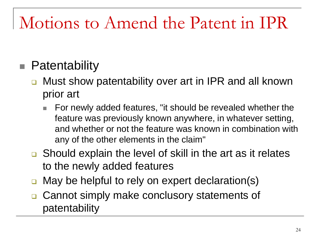#### ■ Patentability

- **□** Must show patentability over art in IPR and all known prior art
	- For newly added features, "it should be revealed whether the feature was previously known anywhere, in whatever setting, and whether or not the feature was known in combination with any of the other elements in the claim"
- **□** Should explain the level of skill in the art as it relates to the newly added features
- **n** May be helpful to rely on expert declaration(s)
- **□** Cannot simply make conclusory statements of patentability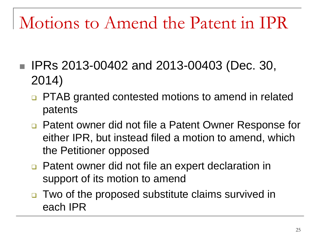- IPRs 2013-00402 and 2013-00403 (Dec. 30, 2014)
	- **PTAB granted contested motions to amend in related** patents
	- **□** Patent owner did not file a Patent Owner Response for either IPR, but instead filed a motion to amend, which the Petitioner opposed
	- Patent owner did not file an expert declaration in support of its motion to amend
	- □ Two of the proposed substitute claims survived in each IPR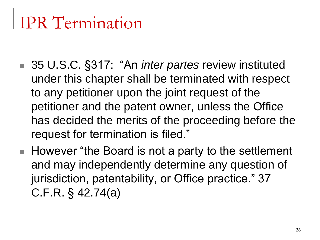#### IPR Termination

- 35 U.S.C. §317: "An *inter partes* review instituted under this chapter shall be terminated with respect to any petitioner upon the joint request of the petitioner and the patent owner, unless the Office has decided the merits of the proceeding before the request for termination is filed."
- However "the Board is not a party to the settlement and may independently determine any question of jurisdiction, patentability, or Office practice." 37 C.F.R. § 42.74(a)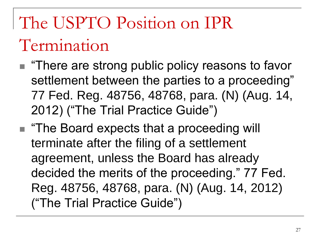# The USPTO Position on IPR

#### Termination

- "There are strong public policy reasons to favor settlement between the parties to a proceeding" 77 Fed. Reg. 48756, 48768, para. (N) (Aug. 14, 2012) ("The Trial Practice Guide")
- "The Board expects that a proceeding will terminate after the filing of a settlement agreement, unless the Board has already decided the merits of the proceeding." 77 Fed. Reg. 48756, 48768, para. (N) (Aug. 14, 2012) ("The Trial Practice Guide")